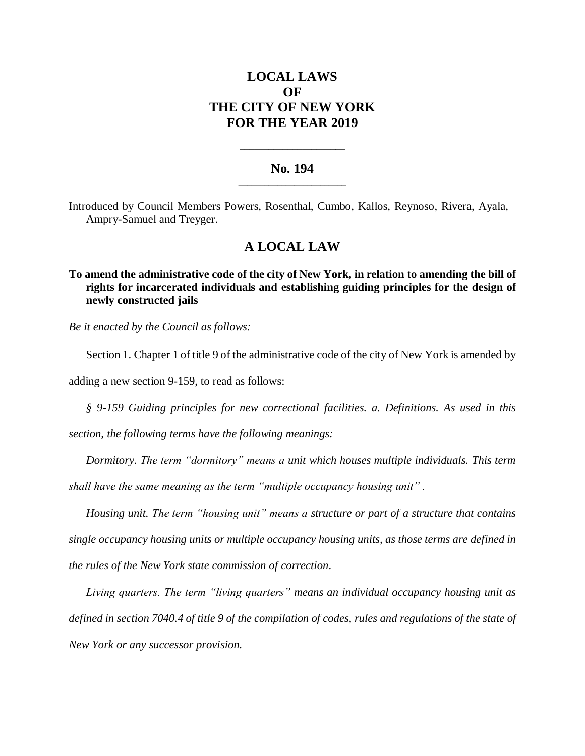# **LOCAL LAWS OF THE CITY OF NEW YORK FOR THE YEAR 2019**

### **No. 194 \_\_\_\_\_\_\_\_\_\_\_\_\_\_\_\_\_\_\_\_\_\_\_\_\_**

**\_\_\_\_\_\_\_\_\_\_\_\_\_\_\_\_\_\_\_\_\_\_**

Introduced by Council Members Powers, Rosenthal, Cumbo, Kallos, Reynoso, Rivera, Ayala, Ampry-Samuel and Treyger.

## **A LOCAL LAW**

**To amend the administrative code of the city of New York, in relation to amending the bill of rights for incarcerated individuals and establishing guiding principles for the design of newly constructed jails**

*Be it enacted by the Council as follows:*

Section 1. Chapter 1 of title 9 of the administrative code of the city of New York is amended by

adding a new section 9-159, to read as follows:

*§ 9-159 Guiding principles for new correctional facilities. a. Definitions. As used in this section, the following terms have the following meanings:* 

*Dormitory. The term "dormitory" means a unit which houses multiple individuals. This term shall have the same meaning as the term "multiple occupancy housing unit" .*

*Housing unit. The term "housing unit" means a structure or part of a structure that contains single occupancy housing units or multiple occupancy housing units, as those terms are defined in the rules of the New York state commission of correction.*

*Living quarters. The term "living quarters" means an individual occupancy housing unit as defined in section 7040.4 of title 9 of the compilation of codes, rules and regulations of the state of New York or any successor provision.*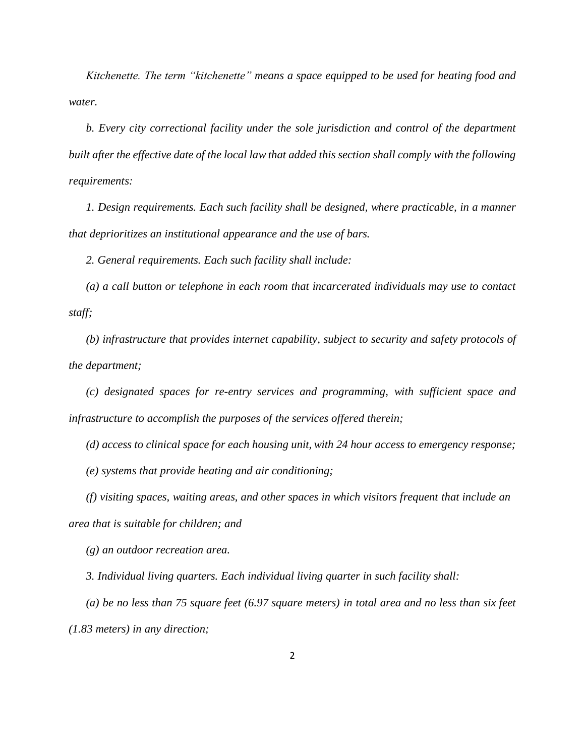*Kitchenette. The term "kitchenette" means a space equipped to be used for heating food and water.*

*b. Every city correctional facility under the sole jurisdiction and control of the department built after the effective date of the local law that added this section shall comply with the following requirements:* 

*1. Design requirements. Each such facility shall be designed, where practicable, in a manner that deprioritizes an institutional appearance and the use of bars.*

*2. General requirements. Each such facility shall include:*

*(a) a call button or telephone in each room that incarcerated individuals may use to contact staff;* 

*(b) infrastructure that provides internet capability, subject to security and safety protocols of the department;* 

*(c) designated spaces for re-entry services and programming, with sufficient space and infrastructure to accomplish the purposes of the services offered therein;* 

*(d) access to clinical space for each housing unit, with 24 hour access to emergency response;* 

*(e) systems that provide heating and air conditioning;*

*(f) visiting spaces, waiting areas, and other spaces in which visitors frequent that include an area that is suitable for children; and*

*(g) an outdoor recreation area.*

*3. Individual living quarters. Each individual living quarter in such facility shall:* 

*(a) be no less than 75 square feet (6.97 square meters) in total area and no less than six feet (1.83 meters) in any direction;*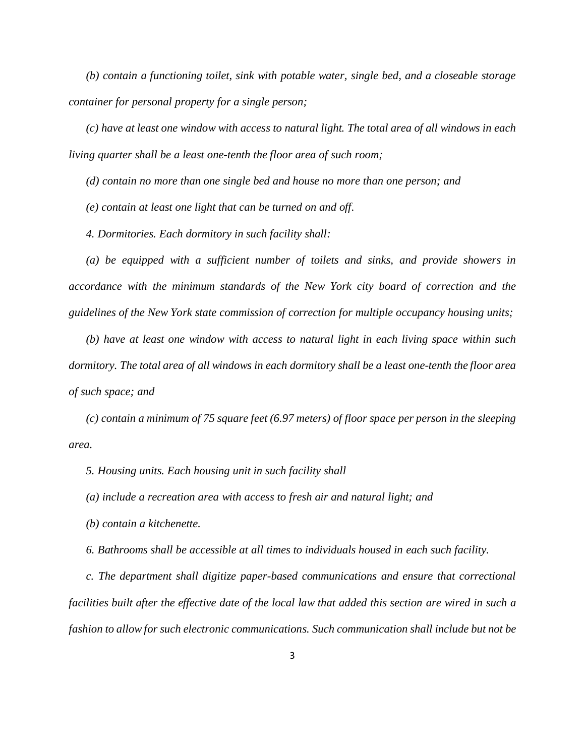*(b) contain a functioning toilet, sink with potable water, single bed, and a closeable storage container for personal property for a single person;*

*(c) have at least one window with access to natural light. The total area of all windows in each living quarter shall be a least one-tenth the floor area of such room;*

*(d) contain no more than one single bed and house no more than one person; and* 

*(e) contain at least one light that can be turned on and off.*

*4. Dormitories. Each dormitory in such facility shall:*

*(a) be equipped with a sufficient number of toilets and sinks, and provide showers in accordance with the minimum standards of the New York city board of correction and the guidelines of the New York state commission of correction for multiple occupancy housing units;* 

*(b) have at least one window with access to natural light in each living space within such dormitory. The total area of all windows in each dormitory shall be a least one-tenth the floor area of such space; and* 

*(c) contain a minimum of 75 square feet (6.97 meters) of floor space per person in the sleeping area.* 

*5. Housing units. Each housing unit in such facility shall*

*(a) include a recreation area with access to fresh air and natural light; and*

*(b) contain a kitchenette.*

*6. Bathrooms shall be accessible at all times to individuals housed in each such facility.*

*c. The department shall digitize paper-based communications and ensure that correctional facilities built after the effective date of the local law that added this section are wired in such a fashion to allow for such electronic communications. Such communication shall include but not be*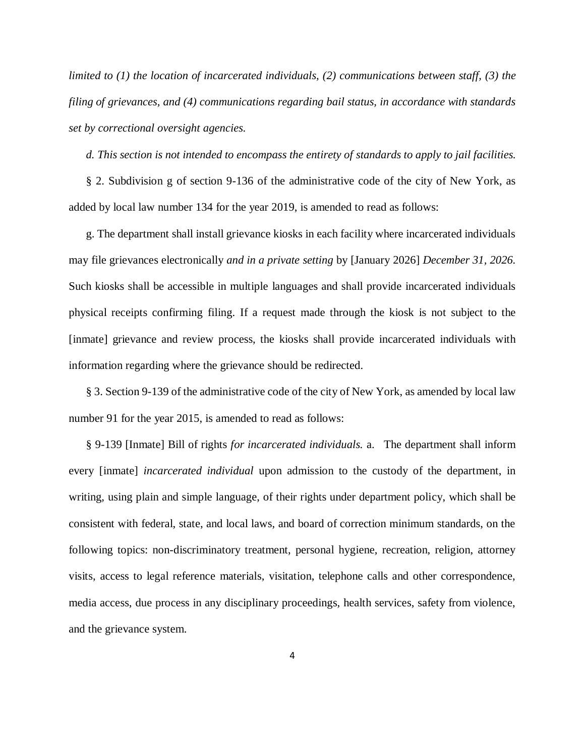*limited to (1) the location of incarcerated individuals, (2) communications between staff, (3) the filing of grievances, and (4) communications regarding bail status, in accordance with standards set by correctional oversight agencies.*

*d. This section is not intended to encompass the entirety of standards to apply to jail facilities.* 

§ 2. Subdivision g of section 9-136 of the administrative code of the city of New York, as added by local law number 134 for the year 2019, is amended to read as follows:

g. The department shall install grievance kiosks in each facility where incarcerated individuals may file grievances electronically *and in a private setting* by [January 2026] *December 31, 2026.* Such kiosks shall be accessible in multiple languages and shall provide incarcerated individuals physical receipts confirming filing. If a request made through the kiosk is not subject to the [inmate] grievance and review process, the kiosks shall provide incarcerated individuals with information regarding where the grievance should be redirected.

§ 3. Section 9-139 of the administrative code of the city of New York, as amended by local law number 91 for the year 2015, is amended to read as follows:

§ 9-139 [Inmate] Bill of rights *for incarcerated individuals.* a. The department shall inform every [inmate] *incarcerated individual* upon admission to the custody of the department, in writing, using plain and simple language, of their rights under department policy, which shall be consistent with federal, state, and local laws, and board of correction minimum standards, on the following topics: non-discriminatory treatment, personal hygiene, recreation, religion, attorney visits, access to legal reference materials, visitation, telephone calls and other correspondence, media access, due process in any disciplinary proceedings, health services, safety from violence, and the grievance system.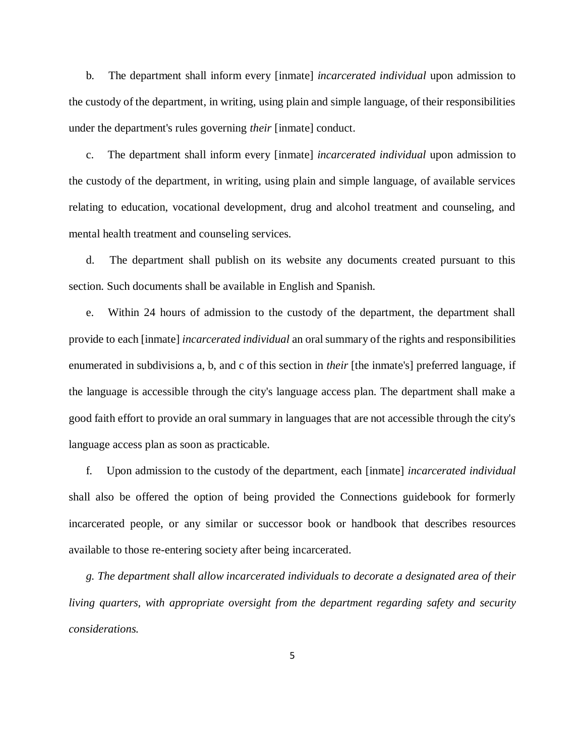b. The department shall inform every [inmate] *incarcerated individual* upon admission to the custody of the department, in writing, using plain and simple language, of their responsibilities under the department's rules governing *their* [inmate] conduct.

c. The department shall inform every [inmate] *incarcerated individual* upon admission to the custody of the department, in writing, using plain and simple language, of available services relating to education, vocational development, drug and alcohol treatment and counseling, and mental health treatment and counseling services.

d. The department shall publish on its website any documents created pursuant to this section. Such documents shall be available in English and Spanish.

e. Within 24 hours of admission to the custody of the department, the department shall provide to each [inmate] *incarcerated individual* an oral summary of the rights and responsibilities enumerated in subdivisions a, b, and c of this section in *their* [the inmate's] preferred language, if the language is accessible through the city's language access plan. The department shall make a good faith effort to provide an oral summary in languages that are not accessible through the city's language access plan as soon as practicable.

f. Upon admission to the custody of the department, each [inmate] *incarcerated individual* shall also be offered the option of being provided the Connections guidebook for formerly incarcerated people, or any similar or successor book or handbook that describes resources available to those re-entering society after being incarcerated.

*g. The department shall allow incarcerated individuals to decorate a designated area of their living quarters, with appropriate oversight from the department regarding safety and security considerations.*